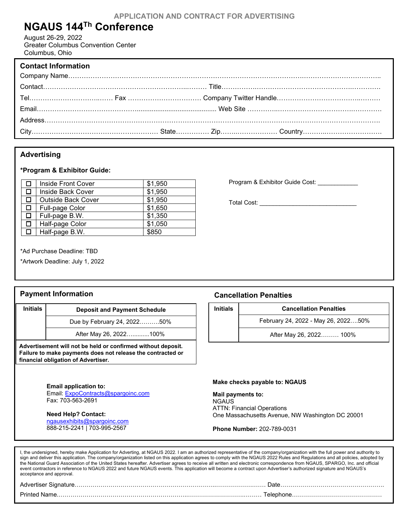# **NGAUS 144Th Conference**

August 26-29, 2022 Greater Columbus Convention Center Columbus, Ohio

| <b>Contact Information</b> |  |
|----------------------------|--|
|                            |  |
|                            |  |
|                            |  |
|                            |  |
|                            |  |
|                            |  |

### **Advertising**

#### **\*Program & Exhibitor Guide:**

|        | Inside Front Cover        | \$1,950 |
|--------|---------------------------|---------|
| 0.     | Inside Back Cover         | \$1,950 |
| $\Box$ | <b>Outside Back Cover</b> | \$1,950 |
| $\Box$ | Full-page Color           | \$1,650 |
| $\Box$ | Full-page B.W.            | \$1,350 |
| 0      | Half-page Color           | \$1,050 |
| □□     | Half-page B.W.            | \$850   |

Program & Exhibitor Guide Cost: \_\_\_\_\_\_\_\_\_\_\_\_

Total Cost: \_\_\_\_\_\_\_\_\_\_\_\_\_\_\_\_\_\_\_\_\_\_\_\_\_\_\_\_\_

\* \*Ad Purchase Deadline: TBD

\*Artwork Deadline: July 1, 2022

#### **Payment Information**

| <b>Initials</b> | <b>Deposit and Payment Schedule</b> |  |
|-----------------|-------------------------------------|--|
|                 | Due by February 24, 202250%         |  |
|                 |                                     |  |

After May 26, 2022…..........100% After May 26, 2022…..........100%

**Advertisement will not be held or confirmed without deposit. Failure to make payments does not release the contracted or financial obligation of Advertiser.**

> **Email application to:** Email: [ExpoContracts@spargoinc.com](mailto:ExpoContracts@spargoinc.com) Fax: 703-563-2691

**Need Help? Contact:**  [ngausexhibits@spargoinc.com](mailto:ngausexhibits@spargoinc.com) 888-215-2241 | 703-995-2567

#### **Cancellation Penalties**

**Initials Cancellation Penalties**

February 24, 2022 - May 26, 2022….50%

After May 26, 2022……… 100%

#### **Make checks payable to: NGAUS**

**Mail payments to:**  NGAUS ATTN: Financial Operations One Massachusetts Avenue, NW Washington DC 20001

**Phone Number:** 202-789-0031

| I, the undersigned, hereby make Application for Adverting, at NGAUS 2022. I am an authorized representative of the company/organization with the full power and authority to<br>sign and deliver this application. The company/organization listed on this application agrees to comply with the NGAUS 2022 Rules and Regulations and all policies, adopted by<br>the National Guard Association of the United States hereafter. Advertiser agrees to receive all written and electronic correspondence from NGAUS, SPARGO, Inc. and official<br>event contractors in reference to NGAUS 2022 and future NGAUS events. This application will become a contract upon Advertiser's authorized signature and NGAUS's<br>acceptance and approval. |  |
|-----------------------------------------------------------------------------------------------------------------------------------------------------------------------------------------------------------------------------------------------------------------------------------------------------------------------------------------------------------------------------------------------------------------------------------------------------------------------------------------------------------------------------------------------------------------------------------------------------------------------------------------------------------------------------------------------------------------------------------------------|--|
|                                                                                                                                                                                                                                                                                                                                                                                                                                                                                                                                                                                                                                                                                                                                               |  |
|                                                                                                                                                                                                                                                                                                                                                                                                                                                                                                                                                                                                                                                                                                                                               |  |